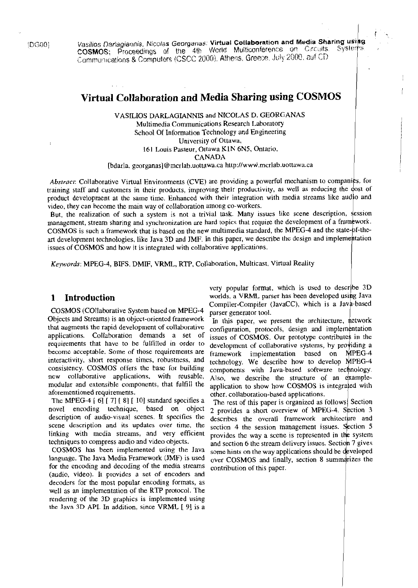(DG00)

Vasilios Darlagiannis, Nicolas Georganas: Virtual Collaboration and Media Sharing using<br>COSMOS; Proceedings of the 4th World Multiconference on Circuits. Systems. Communications & Computers (CSCC 2000), Athens, Greece, July 2000, auf CD

# Virtual Collaboration and Media Sharing using COSMOS

VASILIOS DARLAGIANNIS and NICOLAS D. GEORGANAS Multimedia Communications Research Laboratory School Of Information Technology and Engineering University of Ottawa, 161 Louis Pasteur, Ottawa K1N 6N5, Ontario, **CANADA** 

[bdarla, georganas]@mcrlab.uottawa.ca http://www.mcrlab.uottawa.ca

Abstract: Collaborative Virtual Environments (CVE) are providing a powerful mechanism to companies, for training staff and customers in their products, improving their productivity, as well as reducing the cost of product development at the same time. Enhanced with their integration with media streams like audio and video, they can become the main way of collaboration among co-workers.

But, the realization of such a system is not a trivial task. Many issues like scene description, session management, stream sharing and synchronization are hard topics that require the development of a framework. COSMOS is such a framework that is based on the new multimedia standard, the MPEG-4 and the state-of-theart development technologies, like Java 3D and JMF. In this paper, we describe the design and implementation issues of COSMOS and how it is integrated with collaborative applications.

Keywords: MPEG-4, BIFS, DMIF, VRML, RTP, Collaboration, Multicast, Virtual Reality

### $\mathbf{1}$ Introduction

COSMOS (COllaborative System based on MPEG-4 Objects and Streams) is an object-oriented framework that augments the rapid development of collaborative applications. Collaboration demands a set of requirements that have to be fulfilled in order to become acceptable. Some of those requirements are interactivity, short response times, robustness, and consistency. COSMOS offers the base for building new collaborative applications, with reusable, modular and extensible components, that fulfill the aforementioned requirements.

The MPEG-4 [ 6] [ 7] [ 8] [ 10] standard specifies a novel encoding technique, based on object description of audio-visual scenes. It specifies the scene description and its updates over time, the linking with media streams, and very efficient techniques to compress audio and video objects.

COSMOS has been implemented using the Java language. The Java Media Framework (JMF) is used for the encoding and decoding of the media streams (audio, video). It provides a set of encoders and decoders for the most popular encoding formats, as well as an implementation of the RTP protocol. The rendering of the 3D graphics is implemented using the Java 3D API. In addition, since VRML [ 9] is a

very popular format, which is used to describe 3D worlds, a VRML parser has been developed using Java Compiler-Compiler (JavaCC), which is a Java-based parser generator tool.

In this paper, we present the architecture, network configuration, protocols, design and implementation issues of COSMOS. Our prototype contributes in the development of collaborative systems, by providing a framework implementation based on MPEG-4 technology. We describe how to develop MPEG-4 components with Java-based software technology. Also, we describe the structure of an exampleapplication to show how COSMOS is integrated with other, collaboration-based applications.

The rest of this paper is organized as follows Section 2 provides a short overview of MPEG-4. Section 3 describes the overall framework architecture and section 4 the session management issues. Section 5 provides the way a scene is represented in the system and section 6 the stream delivery issues. Section 7 gives some hints on the way applications should be developed over COSMOS and finally, section 8 summarizes the contribution of this paper.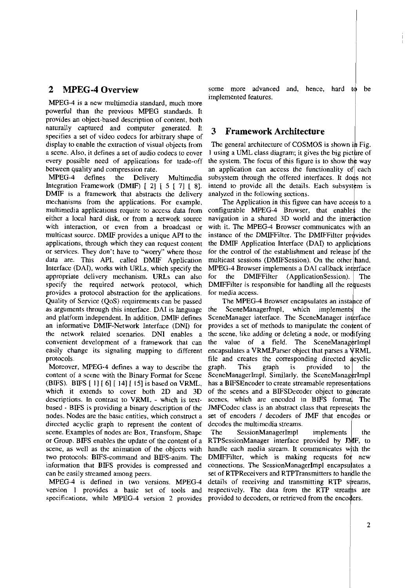MPEG-4 is a new multimedia standard, much more powerful than the previous MPEG standards. It provides an ohject-based description of content, both naturally captured and computer generated. It **3 Framework Architecture** specifies a set of video codecs for arbitrary shape of display to enable the extraction of visual objects from

DMIF is a framework that abstracts the delivery analyzed in the following sections. multimedia applications require to access data from provides a protocol abstraction for the applications. for media access. Quality of Service (QoS) requirements can be passed multicast source. DMIF provides a unique API to the or services. They don't have to "worry" where those data are. This API, called DMIF Application appropriate delivery mechanism. URLs can also specify the required network protocol, which as arguments through this interface. DA1 is language and platform independent. In addition. DMiF defines an informative DMIF-Network Interface (DNI) for the network related scenarios. DNI enables a convenient development of a framework that can easily change its signaling mapping to different protocols.

Moreover, MPEG-4 defines a way to describe the content of a scene with the Binary Format for Scene (BIFS). BIFS [ I ] [ **61** [ 141 [ **151** is hased on VRML, which it extends to cover both 2D and 3D directed acyclic graph to represent the content of decodes the multimedia streams. scene. Examples of nodes are Box, Transform, Shape The SessionManagerImpl can be easily streamed among peers.

MPEG-4 is defined in two versions. MPEG-4 version 1 provides a hasic set of tools and

**2 MPEG-4 Overview** some more advanced and, hence, hard to be implemented features.

The general architecture of COSMOS is shown in Fig. a scene. Also, it defines a set of audio codecs to cover 1 using a UML class diagram; it gives the big picture of every possible need of applications for trade-off the system. The focus of this figure is to show the way<br>between quality and compression rate.  $\frac{1}{2}$  and application can access the functionality of each between quality and compression rate. <br>MPEG-4 defines the Delivery Multimedia subsystem through the offered interfaces. It does not Delivery Multimedia subsystem through the offered interfaces. It does not Integration Framework (DMIF) [ 2] [ 5 [ 7] [ 8]. intend to provide all the details. Each subsystem is

mechanisms from the applications. For example, The Application in this figure can have access to a multimedia applications require to access data from configurable MPEG-4 Browser, that enables the either a local hard disk, or from a network source navigation in a shared 3D world and the interaction with interaction, or even from a broadcast or with it. The MPEG-4 Browser communicates with an with interaction, or even from a broadcast or with it. The MPEG-4 Browser communicates with an  $\frac{1}{2}$ instance of the DMIFFilter. The DMIFFilter provides applications, through which they can request content the DMIF Application Interface (DAI) to applications or services. They don't have to "worry" where those for the control of the establishment and release of the multicast sessions (DMIFSession). On the other hand, MPEG-4 Browser implements a DAI callback interface Interface (DAI), works with URLs, which specify the MPEG-4 Browser implements a DAI callback interface appropriate delivery mechanism. URLs can also for the DMIFFilter (ApplicationSession). The DMIFFilter is responsible for handling all the requests

The MPEG-4 Browser encapsulates an instance of SceneManagerImpl, which implements the the SceneManager interface. The SceneManager interface provides a set of methods to manipulate the content of the scene, like adding or deleting a node, or modifying the value of a field. The SceneManagerImpl encapsulates a VRMLParser object that parses a VRML file and creates the corresponding directed acyclic graph. This graph is provided  $10<sup>1</sup>$ the SceneManagerImpl. Similarly, the SceneManagerImpl has a BIFSEncoder to create streamable representations of the scenes and a BIFSDecoder object to generate descriptions. In contrast to VRML - which is text- scenes, which are encoded in BIFS format. The based - BIFS is providing a binary description of the JMFCodec class is an abstract class that represents the nodes. Nodes are the basic entities, which construct a set of encoders / decoders of JMF that encodes or

implements the or Group. BIFS enables the update of the content of a RTPSessionManager interface provided by JMF, to scene, as well as the animation of the objects with handle each media stream. It communicates with the two protocols: BIFS-command and BIFS-anim. The DMIFFilter, which is information that BIFS provides is compressed and connections. The SessionManagerImpl encapsulates a set of RTPReceivers and RTPTransmitters to handle the details of receiving and transmitting RTP streams, respectively. The data from the RTP streams are specifications, while MPEG-4 version 2 provides provided to decoders, or retrieved from the encoders.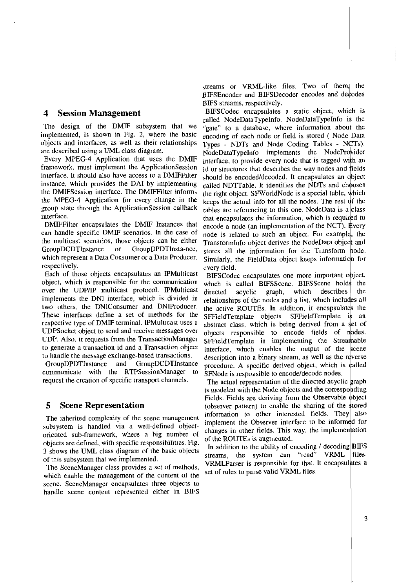can handle specific DMIF scenarios. In the case of respectively.

Each of those objects encapsulates an IPMulticast BIFSCodec encapsulates one more important object, over the UDP/IP multicast protocol. IPMulticast directed acyclic graph, which describes UDPSocket object to send and receive messages over

communicate with the RTPSessionManager to SFNode is responsible to encode/decode nodes.<br>request the creation of specific transport channels. The actual representation of the directed acycli

objects are defined, with specific responsibilities. Fig. 3 shows the UML class diagram of the basic objects In addition to the ability of encoding recoding<br>of this subsystem that we implemented

The SceneManager class provides a set of methods, view the responsive for that which enable the management of the content of the set of rules to parse valid VRML files. scene. SceneManager encapsulates three objects to handle scene content represented either in BIFS

streams or VRML-like files. Two of them, the BIFSEncoder and BIFSDecoder encodes and decodes DES streams, respectively.

**4 Session Management BIFSCodec encapsulates a static object, which is dependent of the static object** which is the called NodeDataTypeInfo. NodeDataTypeInfo is the The design of the DMIF subsystem that we  $\frac{d}{dx}$  to a database, where information about the implemented, is shown in Fig. 2, where the basic encoding of each node or field is stored (Node Data objects and interfaces, as well as their relationships  $\tau_{\text{Ypes}}$ . NDTs and Node Coding Tables - NCTs).<br>NodeDataTypeInfo implements the NodeProvider NodeDataTypeInfo implements the NodeProvider Every MPEG-4 Application that uses the DMIF interface, to provide every node that is tagged with an framework, must implement the ApplicationSession id or structures that describes the way nodes and fields framework, must implement the ApplicationSession  $\frac{1}{10}$  or structures that describes the way nodes and fields interface. It should also have access to a DMIFFilter should be encoded/decoded. It encapsulates an object interface. It should also have access to a DMIFFilter should be encoded/decoded. It encapsulates an object instance, which provides the DAI by implementing called NDTTable. It identifies the NDTs and chooses called NDTTable. It identifies the NDTs and chooses the DMIFSession interface. The DMIFFilter informs the right object, SFW $\alpha$ rldNode is a special table, which the MPEG-4 Application for every change in the keeps the actual info for all the nodes. The rest of the group state through the ApplicationSession callback tables are referencing to this one. NodeData is  $a|$ class interface.<br>IDMIFFilter encapsulates the DMIF Instances that encode a node (an implementation of the NCT). Every encode a node (an implementation of the NCT). Every node is related to such an object. For example, the the multicast scenarios, those objects can be either TransformInfo object derives the NodeData object and GroupDCDTInstance or GroupDPDTInsta-nce, stores all the information for the Transform hode.<br>which represent a Data Consumer or a Data Producer, Similarly, the FieldData object keeps information for Similarly, the FieldData object keeps information for every field.

object, which is responsible for the communication which is called BIFSS cene. BIFSS cene holds the the implements the DNI interface, which is divided in relationships of the nodes and a list, which includes all two others, the DNIConsumer and DNIProducer. the active ROUTEs. In addition, it encapsulates the These interfaces define a set of methods for the SFFieldTemplate objects. SFFieldTemplate is an respective type of DMIF termi UDP. Also, it requests from the TransactionManager spriet determinate is implementing the Streamable to generate a transaction id and a Transaction object interface, which enables the output of the scene to handle the message exchange-based transactions. to handle the message exchange-based transactions. description into a binary stream, as well as the reverse<br>GroupDPDTInstance and GroupDCDTInstance procedure. A specific derived object, which is called GroupDPDTInstance and GroupDCDTInstance procedure. A specific derived object, which is called communicate with the RTPSessionManager to  $S_FN$  ode is responsible to encode/decode nodes.

The actual representation of the directed acyclic graph is modeled with the Node objects and the corresponding Fields. Fields are deriving from the Observable object **5 Scene Representation** (observer pattern) to enable the sharing of the stored<br> **Figure 1.** Interested fields. They also The inherited complexity of the scene management<br>subsystem is handled via a well-defined object-<br>oriented sub-framework, where a big number of changes in other fields. This way, the implementation<br>of the ROUTEs is augmente

streams, the system can "read" VRML files.<br>
The SceneManager class provides a set of methods, VRMLParser is responsible for that. It encapsulates a<br>
later areas which the SceneManager class provides a set of methods, the f In addition to the ability of encoding / decoding **BIFS** files.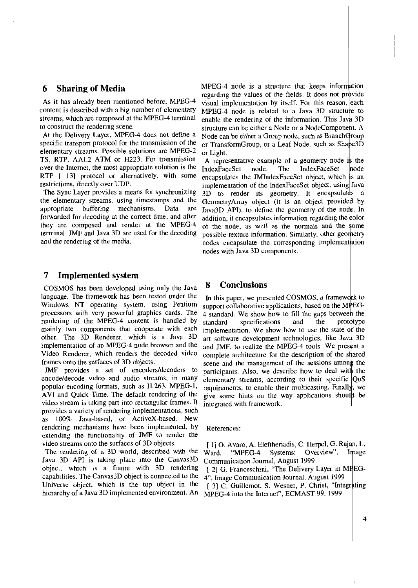As it has already been mentioned before, MPEG-4 content is described with a big number of elementary. to construct the rendenng scene.

elementary streams. Possible solutions are MPEG-2 TS, RTP, AAL2 ATM or H223. For transmission A representative example of a geometry node is the over the Internet, the most appropriate solution is the  $IndexFaceSet$  node. The IndexFaceSet node

The Sync Layer provides a means for synchronizing the elementary streams, using timestamps and the forwarded for decoding at the correct time, and after they are composed and render at the MPEG-4 terminal. JMF and Java 3D are used for the decoding

## **7 Implemented system**

COSMOS has been developed using only the Java **8 C0nclusions**  language. The framework has been tested under the  $I_n$  this paper, we presented COSMOS, a framework to Windows NT operating system, using Pentium support collaborative applications, based on the MPEGrendering of the MPEG-4 content is handled by  $standard$  specifications rames onto the surfaces of 3D objects. mplementation of an MPEG-4 r

video stream is taking part into rectangular frames. It integrated with framework. provides a variety of rendering implementations, such as 100% Java-based, or ActiveX-based. New rendering mechanisms have been implemented, by References: extending the functionality of JMF to render the video streams onto the sutfaces of 3D objects.

Java 3D API is taking place into the Canvas3D Communication Journal, August 1999 object, which is a frame with 3D rendering [ 2] G. Franceschini, "The Delivery Layer in MPEGcapabilities. The Canvas3D object is connected to the 4<sup>*v*</sup>, Image Communication Journal. August 1999

**6 Sharing of Media** MPEG-4 node is a structure that keeps information regarding the values of the fields. It does not provide visual implementation by itself. For this reason, each content is described with a big number of elementary  $MPEG-4$  node is related to a Java 3D structure to streams, which are composed at the MPEG-4 terminal enable the rendering of the information. This Java 3D treams, which are composed at the MPEG-4 terminal enable the rendering of the information. This Java 3D  $\overline{3}$ o construct the rendering scene.<br>At the Delivery Layer, MPEG-4 does not define a Node can be either a Group node, such as BranchGroup specific transport protocol for the transmission of the or TransformGroup, or a Leaf Node, such as Shape3D elementary streams. Possible solutions are MPEG-2 or Light.

over the Internet, the most appropriate solution is the  $I_{ndexFaceSet}$  node. The  $I_{ndexFaceSet}$  node RTP  $[13]$  protocol or alternatively, with some encapsulates the JMIndexFaceSet object, which is an restrictions, directly over UDP. implementation of the IndexFaceSet object. using Java<br>3D to render its geometry. It encapsulates a the elementary streams, using timestamps and the Geometry Array object (it is an object provided by appropriate buffering mechanisms. Data are  $I_{\text{avg3D} \text{ APD}}$  to define the geometry of the node. In Java3D API), to define the geometry of the node. In addition, it encapsulates information regarding the color of the node, as well as the normals and the some possible texture information. Similarly, other geometry and the rendering of the media. The nodes encapsulate the corresponding implementation nodes with Java 3D components.

support collaborative applications, based on the MPEGprocessors with very powerful graphics cards. The  $4 \text{ standard}$ . We show how to fill the gaps between the rendering of the MPEG-4 content is handled by standard specifications and the prototype mainly two components that cooperate with each implementation. We show how to use the state of the nainty two components that cooperate with each implementation. We show how to use the state of the<br>other. The 3D Renderer, which is a Java 3D art software development technologies, like Java 3D<br>mplementation of an MPEG-4 n node browser and the and JMF, to realize the MPEG-4 tools. We present a Video Renderer, which renders the decoded video complete architecture for the description of the shared scene and the management of the sessions among the JMF provides a set of encoders/decoders to participants. Also, we describe how to deal with the encode/decode video and audio streams, in many  $\hat{e}$  lementary streams, according to their specific  $\cos$ popular encoding formats, such as H.263, MPEG-1. requirements, to enable their multicasting. Finally, we AVI and Quick Time. The default rendering of the give some hints on the way applications should be The QoS<br>
y, we<br>
d be

video streams onto the surfaces of 3D objects. [1] O. Avaro, A. Elefthenadis, C. Herpel, G. Rajan, L. The rendering of a 3D world, described with the Ward, "MPEG-4 Systems: Overview", Image

Universe object, which is the top object in the  $\begin{bmatrix} 3 \end{bmatrix} C$ . Guillemot, S. Wesner, P. Christ, "Integrating hierarchy of a Java 3D implemented environment. An MPFG-4 into the Internet". ECMAST 99, 1999 MPEG-4 into the Internet", ECMAST 99, 1999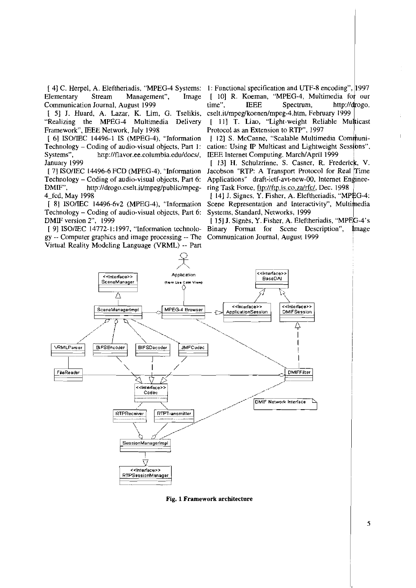Elementary Stream Management". Image Communication Journal, August 1999

"Realizing the MPEG-4 Multimedia Delivery Framework", IEEE Network, July 1998

[ 6] ISO/IEC 14496-1 IS (MPEG-4), "Information Technology – Coding of audio-visual objects, Part 1: Systems". http://flavor.ee.columbia.edu/docs/, January 1999

[7] ISO/JEC 14496-6 FCD (MPEG-4). "Information Technology – Coding of audio-visual objects, Part 6: DMIF". http://drogo.cselt.it/mpeg/public/mpeg-4 fcd, May 1998

[ 8] ISO/IEC 14496-6v2 (MPEG-4), "Information Technology – Coding of audio-visual objects, Part 6: DMIF version 2", 1999

[ 9] ISO/IEC 14772-1:1997, "Information technolo- Binary Format for Scene Description", gy -- Computer graphics and image processing -- The Communication Journal, August 1999 Virtual Reality Modeling Language (VRML) -- Part

(41 C. Herpel, A. Eleftheriadis, "MPEG-4 Systems: 1: Functional specification and UTF-8 encoding", 1997 [ 10] R. Koeman, "MPEG-4, Multimedia for our Spectrum. time". **IEEE** http://drogo. [ 5] J. Huard, A. Lazar, K. Lim, G. Tselikis, cselt.it/mpeg/koenen/mpeg-4.htm, February 1999

> [ 11] T. Liao, "Light-weight Reliable Multicast Protocol as an Extension to RTP", 1997

> [12] S. McCanne, "Scalable Multimedia Communication: Using IP Multicast and Lightweight Sessions". IEEE Internet Computing, March/April 1999

> [ 13] H. Schulzrinne, S. Casner, R. Frederick, V. Jacobson "RTP: A Transport Protocol for Real Time Applications" draft-ietf-avt-new-00, Internet Engineering Task Force, ftp://ftp.is.co.za/rfc/, Dec. 1998

> [14] J. Signes, Y. Fisher, A. Eleftheriadis, "MPEG-4: Scene Representation and Interactivity", Multimedia Systems, Standard, Networks, 1999

[15] J. Signès, Y. Fisher, A. Eleftheriadis, "MPEG-4's Image



Fig. 1 Framework architecture

5